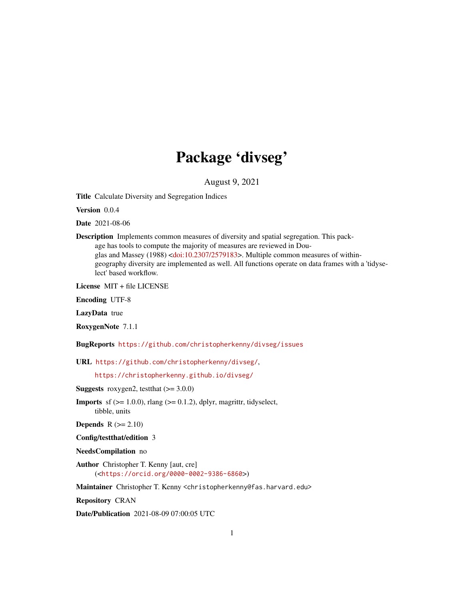# Package 'divseg'

August 9, 2021

<span id="page-0-0"></span>Title Calculate Diversity and Segregation Indices

Version 0.0.4

Date 2021-08-06

Description Implements common measures of diversity and spatial segregation. This package has tools to compute the majority of measures are reviewed in Dou-glas and Massey (1988) [<doi:10.2307/2579183>](https://doi.org/10.2307/2579183). Multiple common measures of withingeography diversity are implemented as well. All functions operate on data frames with a 'tidyselect' based workflow.

License MIT + file LICENSE

Encoding UTF-8

LazyData true

RoxygenNote 7.1.1

BugReports <https://github.com/christopherkenny/divseg/issues>

URL <https://github.com/christopherkenny/divseg/>,

<https://christopherkenny.github.io/divseg/>

**Suggests** roxygen2, testthat  $(>= 3.0.0)$ 

**Imports** sf  $(>= 1.0.0)$ , rlang  $(>= 0.1.2)$ , dplyr, magrittr, tidyselect, tibble, units

**Depends**  $R$  ( $>= 2.10$ )

Config/testthat/edition 3

NeedsCompilation no

Author Christopher T. Kenny [aut, cre] (<<https://orcid.org/0000-0002-9386-6860>>)

Maintainer Christopher T. Kenny <christopherkenny@fas.harvard.edu>

Repository CRAN

Date/Publication 2021-08-09 07:00:05 UTC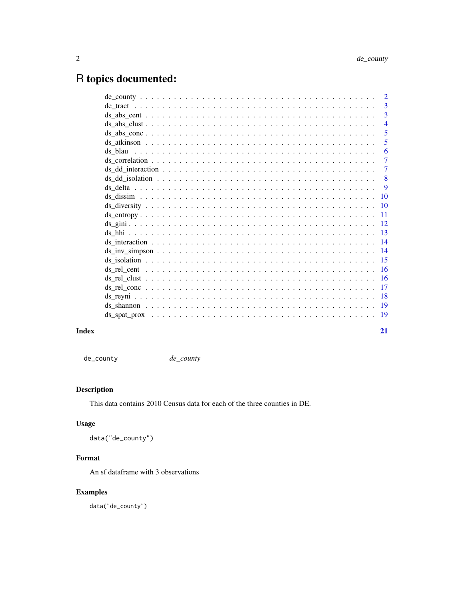## <span id="page-1-0"></span>R topics documented:

|       | $\overline{2}$ |
|-------|----------------|
|       | $\overline{3}$ |
|       | $\overline{3}$ |
|       | $\overline{4}$ |
|       | 5              |
|       | 5              |
|       | 6              |
|       | $\overline{7}$ |
|       | $\overline{7}$ |
|       | -8             |
|       | -9             |
|       |                |
|       |                |
|       |                |
|       |                |
|       |                |
|       |                |
|       |                |
|       |                |
|       |                |
|       |                |
|       |                |
|       |                |
|       |                |
|       |                |
|       |                |
| Index | 21             |

de\_county *de\_county*

#### Description

This data contains 2010 Census data for each of the three counties in DE.

#### Usage

data("de\_county")

#### Format

An sf dataframe with 3 observations

#### Examples

data("de\_county")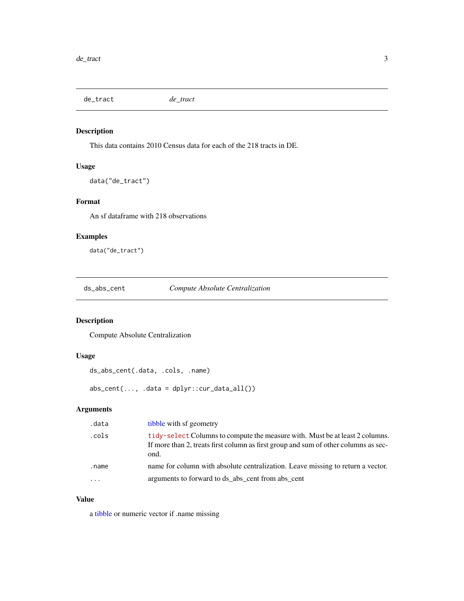<span id="page-2-0"></span>de\_tract *de\_tract*

#### Description

This data contains 2010 Census data for each of the 218 tracts in DE.

#### Usage

```
data("de_tract")
```
#### Format

An sf dataframe with 218 observations

#### Examples

data("de\_tract")

ds\_abs\_cent *Compute Absolute Centralization*

#### Description

Compute Absolute Centralization

#### Usage

```
ds_abs_cent(.data, .cols, .name)
```
abs\_cent(..., .data = dplyr::cur\_data\_all())

#### Arguments

| .data    | tibble with sf geometry                                                                                                                                                     |
|----------|-----------------------------------------------------------------------------------------------------------------------------------------------------------------------------|
| .cols    | tidy-select Columns to compute the measure with. Must be at least 2 columns.<br>If more than 2, treats first column as first group and sum of other columns as sec-<br>ond. |
| .name    | name for column with absolute centralization. Leave missing to return a vector.                                                                                             |
| $\cdots$ | arguments to forward to ds abs cent from abs cent                                                                                                                           |

#### Value

a [tibble](#page-0-0) or numeric vector if .name missing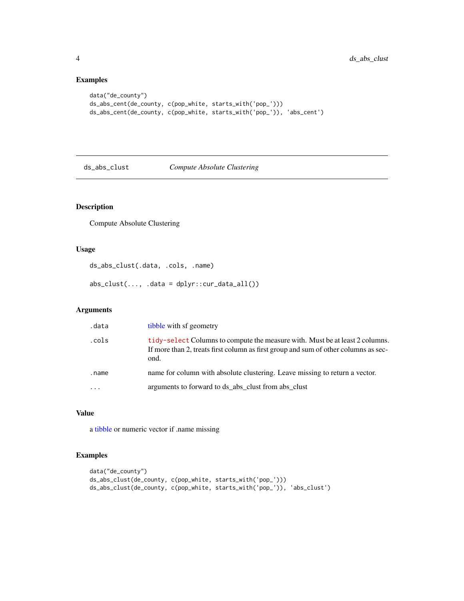#### Examples

```
data("de_county")
ds_abs_cent(de_county, c(pop_white, starts_with('pop_')))
ds_abs_cent(de_county, c(pop_white, starts_with('pop_')), 'abs_cent')
```
#### ds\_abs\_clust *Compute Absolute Clustering*

#### Description

Compute Absolute Clustering

#### Usage

```
ds_abs_clust(.data, .cols, .name)
```
 $abs\_clust(..., .data = dplyr::cur\_data\_all())$ 

#### Arguments

| .data    | tibble with sf geometry                                                                                                                                                     |
|----------|-----------------------------------------------------------------------------------------------------------------------------------------------------------------------------|
| .cols    | tidy-select Columns to compute the measure with. Must be at least 2 columns.<br>If more than 2, treats first column as first group and sum of other columns as sec-<br>ond. |
| .name    | name for column with absolute clustering. Leave missing to return a vector.                                                                                                 |
| $\cdots$ | arguments to forward to ds abs clust from abs clust                                                                                                                         |

#### Value

a [tibble](#page-0-0) or numeric vector if .name missing

```
data("de_county")
ds_abs_clust(de_county, c(pop_white, starts_with('pop_')))
ds_abs_clust(de_county, c(pop_white, starts_with('pop_')), 'abs_clust')
```
<span id="page-3-0"></span>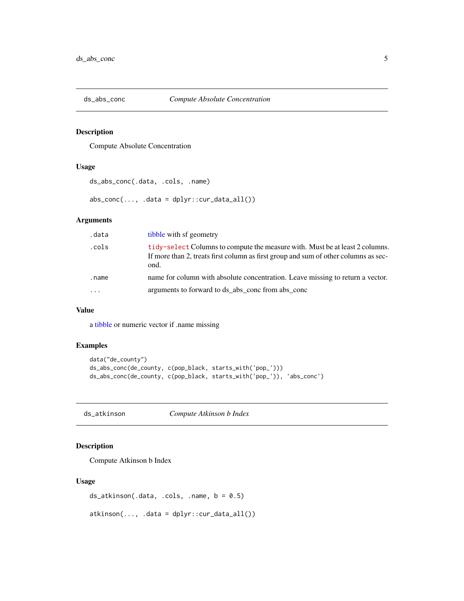<span id="page-4-0"></span>

Compute Absolute Concentration

#### Usage

ds\_abs\_conc(.data, .cols, .name)

 $abs\_conc(..., .data = dplyr::cur\_data\_all())$ 

#### Arguments

| .data    | tibble with sf geometry                                                                                                                                                     |
|----------|-----------------------------------------------------------------------------------------------------------------------------------------------------------------------------|
| .cols    | tidy-select Columns to compute the measure with. Must be at least 2 columns.<br>If more than 2, treats first column as first group and sum of other columns as sec-<br>ond. |
| .name    | name for column with absolute concentration. Leave missing to return a vector.                                                                                              |
| $\ddots$ | arguments to forward to ds_abs_conc from abs_conc                                                                                                                           |

#### Value

a [tibble](#page-0-0) or numeric vector if .name missing

#### Examples

```
data("de_county")
ds_abs_conc(de_county, c(pop_black, starts_with('pop_')))
ds_abs_conc(de_county, c(pop_black, starts_with('pop_')), 'abs_conc')
```
ds\_atkinson *Compute Atkinson b Index*

#### Description

Compute Atkinson b Index

#### Usage

```
ds_atkinson(.data, .cols, .name, b = 0.5)
```
 $atkinson(..., .data = dplyr::cur_data_all())$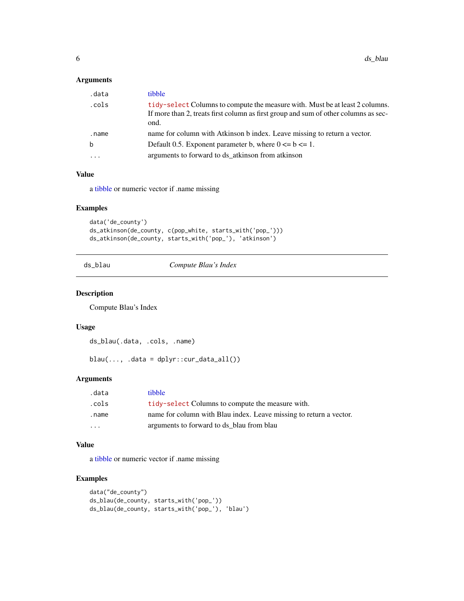#### <span id="page-5-0"></span>Arguments

| .data | tibble                                                                                                                                                                      |
|-------|-----------------------------------------------------------------------------------------------------------------------------------------------------------------------------|
| .cols | tidy-select Columns to compute the measure with. Must be at least 2 columns.<br>If more than 2, treats first column as first group and sum of other columns as sec-<br>ond. |
| .name | name for column with Atkinson b index. Leave missing to return a vector.                                                                                                    |
| b     | Default 0.5. Exponent parameter b, where $0 \le b \le 1$ .                                                                                                                  |
| .     | arguments to forward to ds_atkinson from atkinson                                                                                                                           |

#### Value

a [tibble](#page-0-0) or numeric vector if .name missing

#### Examples

```
data('de_county')
ds_atkinson(de_county, c(pop_white, starts_with('pop_')))
ds_atkinson(de_county, starts_with('pop_'), 'atkinson')
```
#### ds\_blau *Compute Blau's Index*

#### Description

Compute Blau's Index

#### Usage

ds\_blau(.data, .cols, .name)

 $blau(..., .data = dplyr::cur_data_all())$ 

#### Arguments

| .data                   | tibble                                                             |
|-------------------------|--------------------------------------------------------------------|
| .cols                   | tidy-select Columns to compute the measure with.                   |
| .name                   | name for column with Blau index. Leave missing to return a vector. |
| $\cdot$ $\cdot$ $\cdot$ | arguments to forward to ds blau from blau                          |

#### Value

a [tibble](#page-0-0) or numeric vector if .name missing

```
data("de_county")
ds_blau(de_county, starts_with('pop_'))
ds_blau(de_county, starts_with('pop_'), 'blau')
```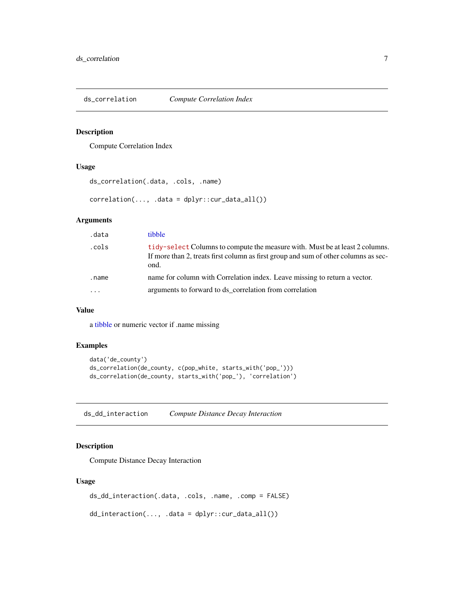<span id="page-6-0"></span>ds\_correlation *Compute Correlation Index*

#### Description

Compute Correlation Index

#### Usage

```
ds_correlation(.data, .cols, .name)
```
correlation(..., .data = dplyr::cur\_data\_all())

#### Arguments

| .data | tibble                                                                                                                                                                      |
|-------|-----------------------------------------------------------------------------------------------------------------------------------------------------------------------------|
| .cols | tidy-select Columns to compute the measure with. Must be at least 2 columns.<br>If more than 2, treats first column as first group and sum of other columns as sec-<br>ond. |
| .name | name for column with Correlation index. Leave missing to return a vector.                                                                                                   |
|       | arguments to forward to ds_correlation from correlation                                                                                                                     |

#### Value

a [tibble](#page-0-0) or numeric vector if .name missing

#### Examples

```
data('de_county')
ds_correlation(de_county, c(pop_white, starts_with('pop_')))
ds_correlation(de_county, starts_with('pop_'), 'correlation')
```
ds\_dd\_interaction *Compute Distance Decay Interaction*

#### Description

Compute Distance Decay Interaction

#### Usage

ds\_dd\_interaction(.data, .cols, .name, .comp = FALSE)

dd\_interaction(..., .data = dplyr::cur\_data\_all())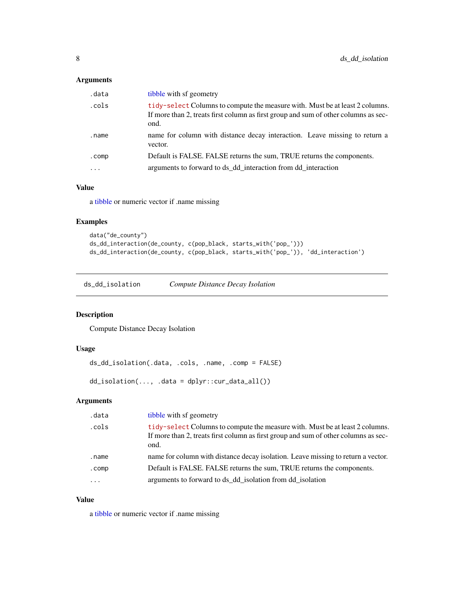#### <span id="page-7-0"></span>Arguments

| .data | tibble with sf geometry                                                                                                                                                     |
|-------|-----------------------------------------------------------------------------------------------------------------------------------------------------------------------------|
| .cols | tidy-select Columns to compute the measure with. Must be at least 2 columns.<br>If more than 2, treats first column as first group and sum of other columns as sec-<br>ond. |
| .name | name for column with distance decay interaction. Leave missing to return a<br>vector.                                                                                       |
| .comp | Default is FALSE. FALSE returns the sum, TRUE returns the components.                                                                                                       |
|       | arguments to forward to ds dd interaction from dd interaction                                                                                                               |

#### Value

a [tibble](#page-0-0) or numeric vector if .name missing

#### Examples

```
data("de_county")
ds_dd_interaction(de_county, c(pop_black, starts_with('pop_')))
ds_dd_interaction(de_county, c(pop_black, starts_with('pop_')), 'dd_interaction')
```
ds\_dd\_isolation *Compute Distance Decay Isolation*

#### Description

Compute Distance Decay Isolation

#### Usage

```
ds_dd_isolation(.data, .cols, .name, .comp = FALSE)
```

```
dd_isolation(..., .data = dplyr::cur_data_all())
```
#### Arguments

| .data                   | tibble with sf geometry                                                                                                                                                     |
|-------------------------|-----------------------------------------------------------------------------------------------------------------------------------------------------------------------------|
| .cols                   | tidy-select Columns to compute the measure with. Must be at least 2 columns.<br>If more than 2, treats first column as first group and sum of other columns as sec-<br>ond. |
| .name                   | name for column with distance decay isolation. Leave missing to return a vector.                                                                                            |
| .comp                   | Default is FALSE. FALSE returns the sum, TRUE returns the components.                                                                                                       |
| $\cdot$ $\cdot$ $\cdot$ | arguments to forward to ds dd isolation from dd isolation                                                                                                                   |

#### Value

a [tibble](#page-0-0) or numeric vector if .name missing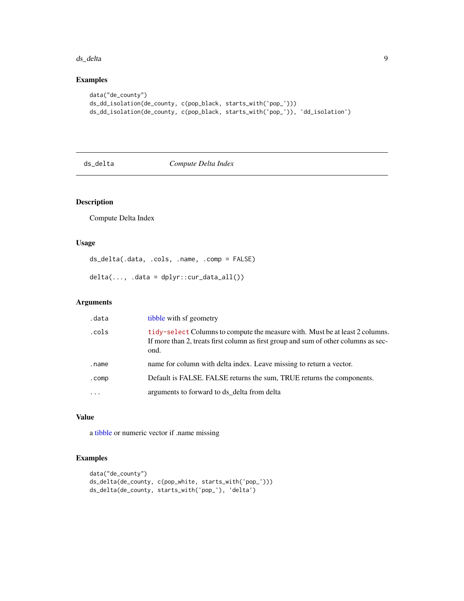#### <span id="page-8-0"></span>ds\_delta 9

#### Examples

```
data("de_county")
ds_dd_isolation(de_county, c(pop_black, starts_with('pop_')))
ds_dd_isolation(de_county, c(pop_black, starts_with('pop_')), 'dd_isolation')
```
ds\_delta *Compute Delta Index*

#### Description

Compute Delta Index

#### Usage

ds\_delta(.data, .cols, .name, .comp = FALSE)

delta(..., .data = dplyr::cur\_data\_all())

#### Arguments

| .data     | tibble with sf geometry                                                                                                                                                     |
|-----------|-----------------------------------------------------------------------------------------------------------------------------------------------------------------------------|
| .cols     | tidy-select Columns to compute the measure with. Must be at least 2 columns.<br>If more than 2, treats first column as first group and sum of other columns as sec-<br>ond. |
| .name     | name for column with delta index. Leave missing to return a vector.                                                                                                         |
| . comp    | Default is FALSE. FALSE returns the sum, TRUE returns the components.                                                                                                       |
| $\ddotsc$ | arguments to forward to ds_delta from delta                                                                                                                                 |

#### Value

a [tibble](#page-0-0) or numeric vector if .name missing

```
data("de_county")
ds_delta(de_county, c(pop_white, starts_with('pop_')))
ds_delta(de_county, starts_with('pop_'), 'delta')
```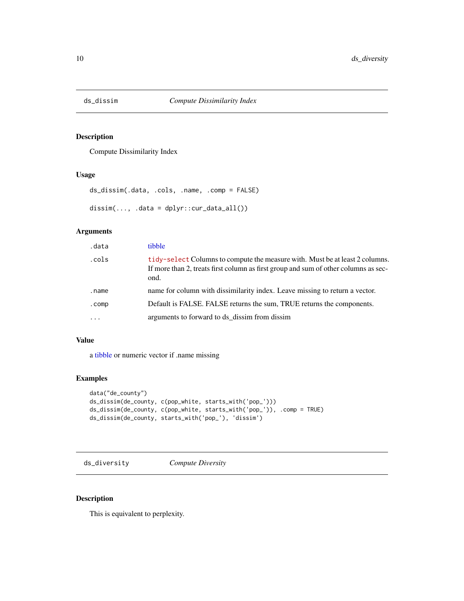<span id="page-9-0"></span>

Compute Dissimilarity Index

#### Usage

```
ds_dissim(.data, .cols, .name, .comp = FALSE)
dissim(..., .data = dplyr::cur_data_all())
```
#### Arguments

| .data    | tibble                                                                                                                                                                      |
|----------|-----------------------------------------------------------------------------------------------------------------------------------------------------------------------------|
| .cols    | tidy-select Columns to compute the measure with. Must be at least 2 columns.<br>If more than 2, treats first column as first group and sum of other columns as sec-<br>ond. |
| .name    | name for column with dissimilarity index. Leave missing to return a vector.                                                                                                 |
| .comp    | Default is FALSE. FALSE returns the sum, TRUE returns the components.                                                                                                       |
| $\cdots$ | arguments to forward to ds_dissim from dissim                                                                                                                               |

#### Value

a [tibble](#page-0-0) or numeric vector if .name missing

#### Examples

```
data("de_county")
ds_dissim(de_county, c(pop_white, starts_with('pop_')))
ds_dissim(de_county, c(pop_white, starts_with('pop_')), .comp = TRUE)
ds_dissim(de_county, starts_with('pop_'), 'dissim')
```
ds\_diversity *Compute Diversity*

#### Description

This is equivalent to perplexity.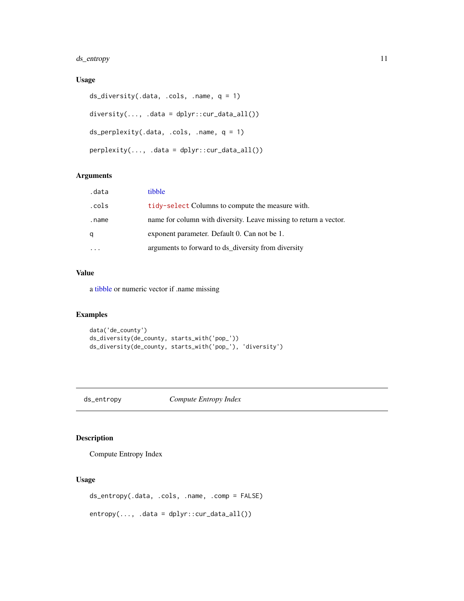<span id="page-10-0"></span>ds\_entropy 11

#### Usage

```
ds_diversity(.data, .cols, .name, q = 1)
diversity(..., .data = dplyr::cur_data_all())ds_perplexity(.data, .cols, .name, q = 1)
perplexity(..., .data = dplyr::cur_data_all())
```
#### Arguments

| .data | tibble                                                            |
|-------|-------------------------------------------------------------------|
| .cols | tidy-select Columns to compute the measure with.                  |
| .name | name for column with diversity. Leave missing to return a vector. |
| q     | exponent parameter. Default 0. Can not be 1.                      |
|       | arguments to forward to ds_diversity from diversity               |

#### Value

a [tibble](#page-0-0) or numeric vector if .name missing

#### Examples

```
data('de_county')
ds_diversity(de_county, starts_with('pop_'))
ds_diversity(de_county, starts_with('pop_'), 'diversity')
```
ds\_entropy *Compute Entropy Index*

### Description

Compute Entropy Index

#### Usage

```
ds_entropy(.data, .cols, .name, .comp = FALSE)
entropy(..., .data = dplyr::cur_data_all())
```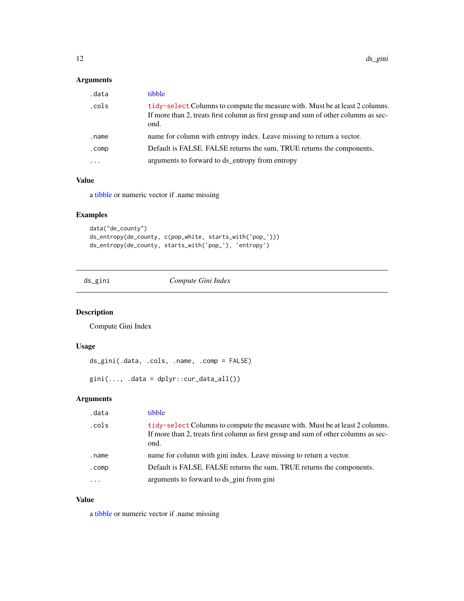#### <span id="page-11-0"></span>Arguments

| .data | tibble                                                                                                                                                                      |
|-------|-----------------------------------------------------------------------------------------------------------------------------------------------------------------------------|
| .cols | tidy-select Columns to compute the measure with. Must be at least 2 columns.<br>If more than 2, treats first column as first group and sum of other columns as sec-<br>ond. |
| .name | name for column with entropy index. Leave missing to return a vector.                                                                                                       |
| .comp | Default is FALSE. FALSE returns the sum, TRUE returns the components.                                                                                                       |
|       | arguments to forward to ds_entropy from entropy                                                                                                                             |

#### Value

a [tibble](#page-0-0) or numeric vector if .name missing

#### Examples

```
data("de_county")
ds_entropy(de_county, c(pop_white, starts_with('pop_')))
ds_entropy(de_county, starts_with('pop_'), 'entropy')
```
ds\_gini *Compute Gini Index*

#### Description

Compute Gini Index

#### Usage

```
ds_gini(.data, .cols, .name, .comp = FALSE)
```

```
gini(..., .data = dplyr::cur_data_all())
```
#### Arguments

| .data | tibble                                                                                                                                                                      |
|-------|-----------------------------------------------------------------------------------------------------------------------------------------------------------------------------|
| .cols | tidy-select Columns to compute the measure with. Must be at least 2 columns.<br>If more than 2, treats first column as first group and sum of other columns as sec-<br>ond. |
| .name | name for column with gini index. Leave missing to return a vector.                                                                                                          |
| .comp | Default is FALSE. FALSE returns the sum, TRUE returns the components.                                                                                                       |
|       | arguments to forward to ds_gini from gini                                                                                                                                   |

#### Value

a [tibble](#page-0-0) or numeric vector if .name missing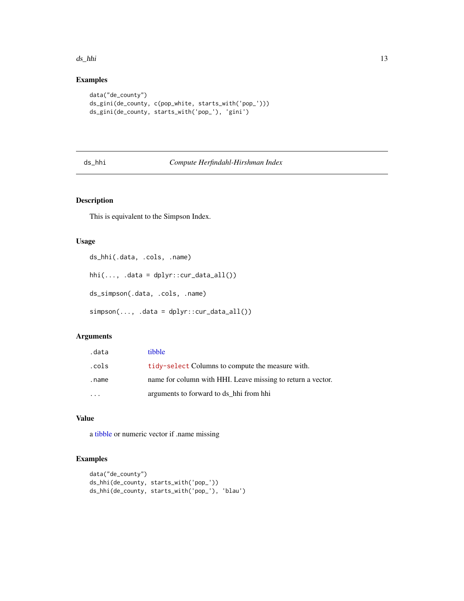#### <span id="page-12-0"></span>ds\_hhi 13

#### Examples

```
data("de_county")
ds_gini(de_county, c(pop_white, starts_with('pop_')))
ds_gini(de_county, starts_with('pop_'), 'gini')
```
#### ds\_hhi *Compute Herfindahl-Hirshman Index*

#### Description

This is equivalent to the Simpson Index.

#### Usage

ds\_hhi(.data, .cols, .name) hhi(..., .data = dplyr::cur\_data\_all()) ds\_simpson(.data, .cols, .name) simpson(..., .data = dplyr::cur\_data\_all())

#### Arguments

| .data | tibble                                                      |
|-------|-------------------------------------------------------------|
| .cols | tidy-select Columns to compute the measure with.            |
| .name | name for column with HHI. Leave missing to return a vector. |
|       | arguments to forward to ds hhi from hhi                     |

#### Value

a [tibble](#page-0-0) or numeric vector if .name missing

```
data("de_county")
ds_hhi(de_county, starts_with('pop_'))
ds_hhi(de_county, starts_with('pop_'), 'blau')
```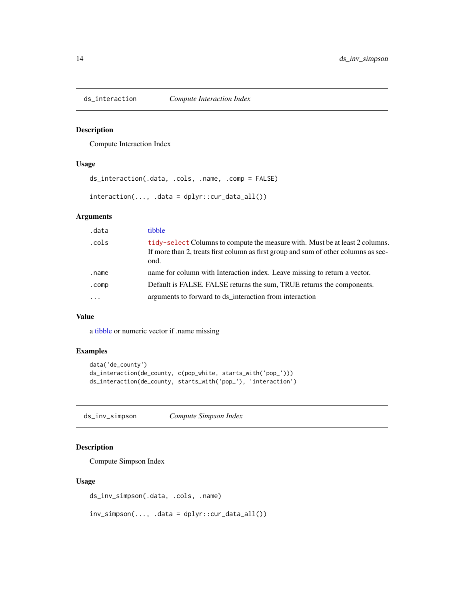<span id="page-13-0"></span>

Compute Interaction Index

#### Usage

```
ds_interaction(.data, .cols, .name, .comp = FALSE)
```
interaction(..., .data = dplyr::cur\_data\_all())

#### Arguments

| .data | tibble                                                                                                                                                                      |
|-------|-----------------------------------------------------------------------------------------------------------------------------------------------------------------------------|
| .cols | tidy-select Columns to compute the measure with. Must be at least 2 columns.<br>If more than 2, treats first column as first group and sum of other columns as sec-<br>ond. |
| .name | name for column with Interaction index. Leave missing to return a vector.                                                                                                   |
| .comp | Default is FALSE. FALSE returns the sum, TRUE returns the components.                                                                                                       |
|       | arguments to forward to ds_interaction from interaction                                                                                                                     |

#### Value

a [tibble](#page-0-0) or numeric vector if .name missing

#### Examples

```
data('de_county')
ds_interaction(de_county, c(pop_white, starts_with('pop_')))
ds_interaction(de_county, starts_with('pop_'), 'interaction')
```
ds\_inv\_simpson *Compute Simpson Index*

#### Description

Compute Simpson Index

#### Usage

```
ds_inv_simpson(.data, .cols, .name)
```
inv\_simpson(..., .data = dplyr::cur\_data\_all())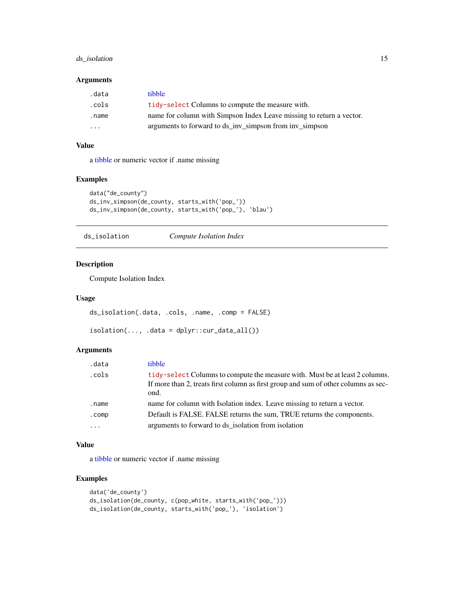#### <span id="page-14-0"></span>ds\_isolation 15

#### Arguments

| .data    | <b>tibble</b>                                                        |
|----------|----------------------------------------------------------------------|
| .cols    | tidy-select Columns to compute the measure with.                     |
| .name    | name for column with Simpson Index Leave missing to return a vector. |
| $\cdots$ | arguments to forward to ds_inv_simpson from inv_simpson              |

#### Value

a [tibble](#page-0-0) or numeric vector if .name missing

#### Examples

```
data("de_county")
ds_inv_simpson(de_county, starts_with('pop_'))
ds_inv_simpson(de_county, starts_with('pop_'), 'blau')
```
ds\_isolation *Compute Isolation Index*

#### Description

Compute Isolation Index

#### Usage

```
ds_isolation(.data, .cols, .name, .comp = FALSE)
isolation(..., .data = dplyr::cur_data_all())
```
#### Arguments

| .data | tibble                                                                                                                                                                      |
|-------|-----------------------------------------------------------------------------------------------------------------------------------------------------------------------------|
| .cols | tidy-select Columns to compute the measure with. Must be at least 2 columns.<br>If more than 2, treats first column as first group and sum of other columns as sec-<br>ond. |
| .name | name for column with Isolation index. Leave missing to return a vector.                                                                                                     |
| .comp | Default is FALSE. FALSE returns the sum, TRUE returns the components.                                                                                                       |
|       | arguments to forward to ds_isolation from isolation                                                                                                                         |

#### Value

a [tibble](#page-0-0) or numeric vector if .name missing

```
data('de_county')
ds_isolation(de_county, c(pop_white, starts_with('pop_')))
ds_isolation(de_county, starts_with('pop_'), 'isolation')
```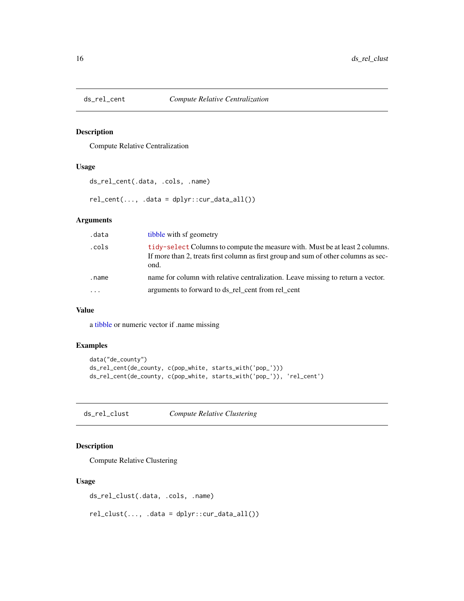<span id="page-15-0"></span>

Compute Relative Centralization

#### Usage

ds\_rel\_cent(.data, .cols, .name)

rel\_cent(..., .data = dplyr::cur\_data\_all())

#### Arguments

| .data    | tibble with sf geometry                                                                                                                                                     |
|----------|-----------------------------------------------------------------------------------------------------------------------------------------------------------------------------|
| .cols    | tidy-select Columns to compute the measure with. Must be at least 2 columns.<br>If more than 2, treats first column as first group and sum of other columns as sec-<br>ond. |
| .name    | name for column with relative centralization. Leave missing to return a vector.                                                                                             |
| $\ddots$ | arguments to forward to ds_rel_cent from rel_cent                                                                                                                           |

#### Value

a [tibble](#page-0-0) or numeric vector if .name missing

#### Examples

```
data("de_county")
ds_rel_cent(de_county, c(pop_white, starts_with('pop_')))
ds_rel_cent(de_county, c(pop_white, starts_with('pop_')), 'rel_cent')
```
ds\_rel\_clust *Compute Relative Clustering*

#### Description

Compute Relative Clustering

#### Usage

ds\_rel\_clust(.data, .cols, .name)

 $rel\_clust(..., .data = dplyr::cur\_data\_all())$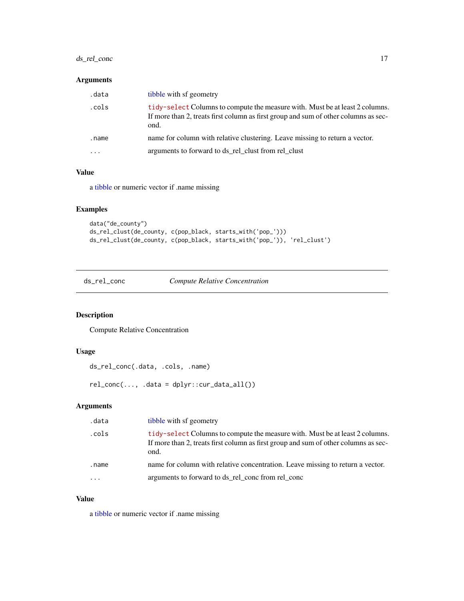#### <span id="page-16-0"></span>ds\_rel\_conc 17

#### Arguments

| .data   | tibble with sf geometry                                                                                                                                                     |
|---------|-----------------------------------------------------------------------------------------------------------------------------------------------------------------------------|
| .cols   | tidy-select Columns to compute the measure with. Must be at least 2 columns.<br>If more than 2, treats first column as first group and sum of other columns as sec-<br>ond. |
| .name   | name for column with relative clustering. Leave missing to return a vector.                                                                                                 |
| $\cdot$ | arguments to forward to ds_rel_clust from rel_clust                                                                                                                         |

#### Value

a [tibble](#page-0-0) or numeric vector if .name missing

#### Examples

```
data("de_county")
ds_rel_clust(de_county, c(pop_black, starts_with('pop_')))
ds_rel_clust(de_county, c(pop_black, starts_with('pop_')), 'rel_clust')
```
ds\_rel\_conc *Compute Relative Concentration*

#### Description

Compute Relative Concentration

#### Usage

```
ds_rel_conc(.data, .cols, .name)
```
rel\_conc(..., .data = dplyr::cur\_data\_all())

#### Arguments

| .data     | tibble with sf geometry                                                                                                                                                     |
|-----------|-----------------------------------------------------------------------------------------------------------------------------------------------------------------------------|
| .cols     | tidy-select Columns to compute the measure with. Must be at least 2 columns.<br>If more than 2, treats first column as first group and sum of other columns as sec-<br>ond. |
| .name     | name for column with relative concentration. Leave missing to return a vector.                                                                                              |
| $\ddotsc$ | arguments to forward to ds rel conce from rel conc                                                                                                                          |

#### Value

a [tibble](#page-0-0) or numeric vector if .name missing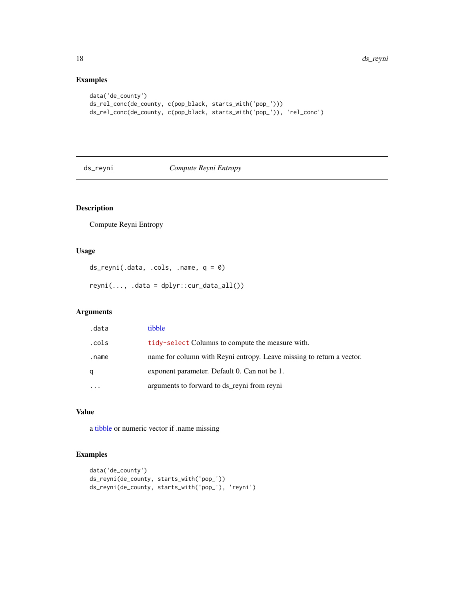#### Examples

```
data('de_county')
ds_rel_conc(de_county, c(pop_black, starts_with('pop_')))
ds_rel_conc(de_county, c(pop_black, starts_with('pop_')), 'rel_conc')
```
#### ds\_reyni *Compute Reyni Entropy*

#### Description

Compute Reyni Entropy

#### Usage

```
ds<sub>reyni</sub>(.data, .cols, .name, q = 0)
```
 $reyni(..., .data = dplyr::cur_data_all())$ 

#### Arguments

| .data | tibble                                                                |
|-------|-----------------------------------------------------------------------|
| .cols | tidy-select Columns to compute the measure with.                      |
| .name | name for column with Reyni entropy. Leave missing to return a vector. |
| q     | exponent parameter. Default 0. Can not be 1.                          |
|       | arguments to forward to ds_reyni from reyni                           |

#### Value

a [tibble](#page-0-0) or numeric vector if .name missing

```
data('de_county')
ds_reyni(de_county, starts_with('pop_'))
ds_reyni(de_county, starts_with('pop_'), 'reyni')
```
<span id="page-17-0"></span>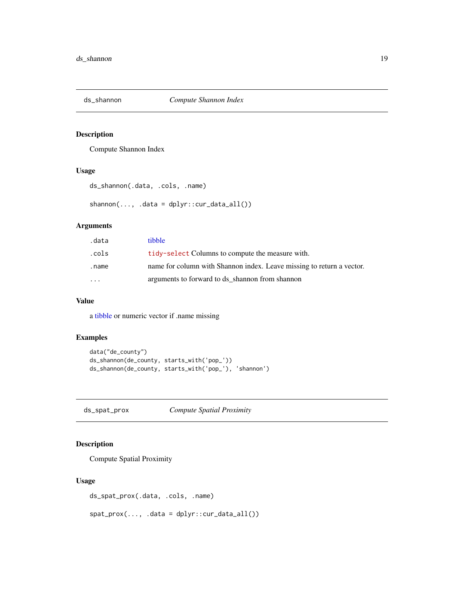<span id="page-18-0"></span>

Compute Shannon Index

#### Usage

```
ds_shannon(.data, .cols, .name)
```
shannon(..., .data = dplyr::cur\_data\_all())

#### Arguments

| .data     | tibble                                                                |
|-----------|-----------------------------------------------------------------------|
| .cols     | tidy-select Columns to compute the measure with.                      |
| .name     | name for column with Shannon index. Leave missing to return a vector. |
| $\ddotsc$ | arguments to forward to ds_shannon from shannon                       |

#### Value

a [tibble](#page-0-0) or numeric vector if .name missing

#### Examples

```
data("de_county")
ds_shannon(de_county, starts_with('pop_'))
ds_shannon(de_county, starts_with('pop_'), 'shannon')
```
ds\_spat\_prox *Compute Spatial Proximity*

#### Description

Compute Spatial Proximity

#### Usage

ds\_spat\_prox(.data, .cols, .name)

```
spat\_prox(..., .data = dplyr::cur\_data\_all())
```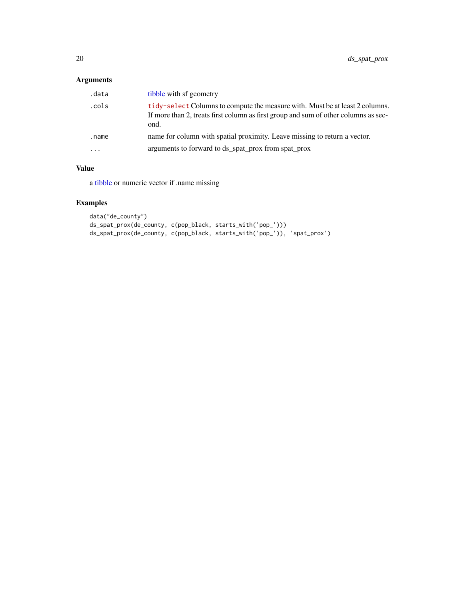#### <span id="page-19-0"></span>Arguments

| .data     | tibble with sf geometry                                                                                                                                                     |
|-----------|-----------------------------------------------------------------------------------------------------------------------------------------------------------------------------|
| .cols     | tidy-select Columns to compute the measure with. Must be at least 2 columns.<br>If more than 2, treats first column as first group and sum of other columns as sec-<br>ond. |
| .name     | name for column with spatial proximity. Leave missing to return a vector.                                                                                                   |
| $\ddotsc$ | arguments to forward to ds_spat_prox from spat_prox                                                                                                                         |

### Value

a [tibble](#page-0-0) or numeric vector if .name missing

```
data("de_county")
ds_spat_prox(de_county, c(pop_black, starts_with('pop_')))
ds_spat_prox(de_county, c(pop_black, starts_with('pop_')), 'spat_prox')
```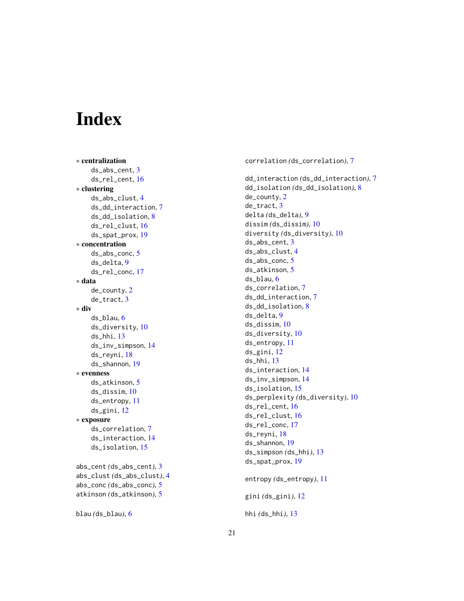# <span id="page-20-0"></span>Index

∗ centralization ds\_abs\_cent , [3](#page-2-0) ds\_rel\_cent , [16](#page-15-0) ∗ clustering ds\_abs\_clust , [4](#page-3-0) ds\_dd\_interaction , [7](#page-6-0) ds\_dd\_isolation , [8](#page-7-0) ds\_rel\_clust , [16](#page-15-0) ds\_spat\_prox , [19](#page-18-0) ∗ concentration ds\_abs\_conc , [5](#page-4-0) ds\_delta , [9](#page-8-0) ds\_rel\_conc , [17](#page-16-0) ∗ data de\_county , [2](#page-1-0) de\_tract , [3](#page-2-0) ∗ div ds\_blau , [6](#page-5-0) ds\_diversity , [10](#page-9-0) ds\_hhi , [13](#page-12-0) ds\_inv\_simpson , [14](#page-13-0) ds\_reyni , [18](#page-17-0) ds\_shannon , [19](#page-18-0) ∗ evenness ds\_atkinson , [5](#page-4-0) ds\_dissim , [10](#page-9-0) ds\_entropy , [11](#page-10-0) ds\_gini , [12](#page-11-0) ∗ exposure ds\_correlation , [7](#page-6-0) ds\_interaction , [14](#page-13-0) ds\_isolation , [15](#page-14-0) abs\_cent *(*ds\_abs\_cent *)* , [3](#page-2-0) abs\_clust *(*ds\_abs\_clust *)* , [4](#page-3-0) abs\_conc *(*ds\_abs\_conc *)* , [5](#page-4-0) atkinson *(*ds\_atkinson *)* , [5](#page-4-0) blau *(*ds\_blau *)* , [6](#page-5-0)

correlation *(*ds\_correlation *)* , [7](#page-6-0)

dd\_interaction *(*ds\_dd\_interaction *)* , [7](#page-6-0) dd\_isolation *(*ds\_dd\_isolation *)* , [8](#page-7-0) de\_county , [2](#page-1-0) de\_tract , [3](#page-2-0) delta *(*ds\_delta *)* , [9](#page-8-0) dissim *(*ds\_dissim *)* , [10](#page-9-0) diversity *(*ds\_diversity *)* , [10](#page-9-0) ds\_abs\_cent, <mark>[3](#page-2-0)</mark> ds\_abs\_clust , [4](#page-3-0) ds\_abs\_conc, <mark>[5](#page-4-0)</mark> ds\_atkinson , [5](#page-4-0) ds\_blau , [6](#page-5-0) ds\_correlation , [7](#page-6-0) ds\_dd\_interaction , [7](#page-6-0) ds\_dd\_isolation , [8](#page-7-0) ds\_delta , [9](#page-8-0) ds\_dissim , [10](#page-9-0) ds\_diversity,[10](#page-9-0) ds\_entropy , [11](#page-10-0) ds\_gini , [12](#page-11-0) ds\_hhi , [13](#page-12-0) ds\_interaction , [14](#page-13-0) ds\_inv\_simpson , [14](#page-13-0) ds\_isolation , [15](#page-14-0) ds\_perplexity *(*ds\_diversity *)* , [10](#page-9-0) ds\_rel\_cent , [16](#page-15-0) ds\_rel\_clust , [16](#page-15-0) ds\_rel\_conc , [17](#page-16-0) ds\_reyni , [18](#page-17-0) ds\_shannon , [19](#page-18-0) ds\_simpson *(*ds\_hhi *)* , [13](#page-12-0) ds\_spat\_prox , [19](#page-18-0) entropy *(*ds\_entropy *)* , [11](#page-10-0) gini *(*ds\_gini *)* , [12](#page-11-0) hhi *(*ds\_hhi *)* , [13](#page-12-0)